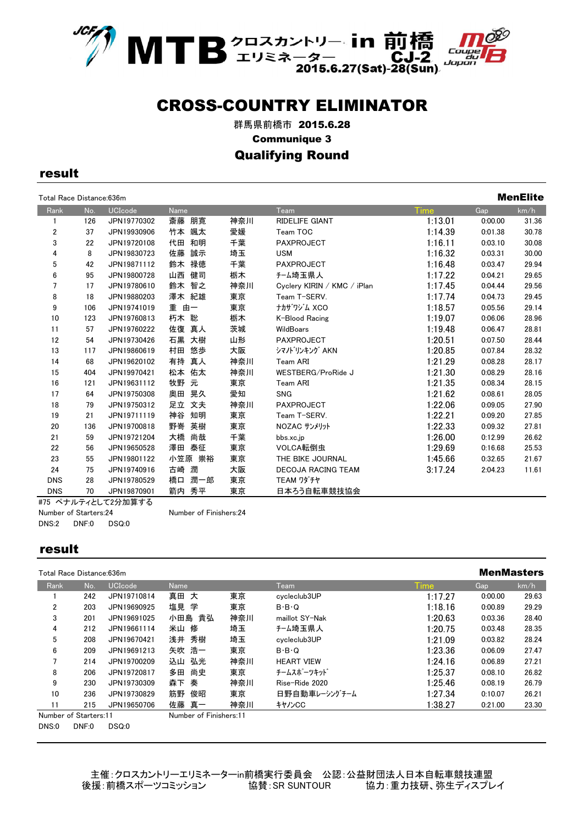

群馬県前橋市 2015.6.28 Communique 3 Qualifying Round

result

| Total Race Distance:636m |     |                |           |     |                             |         |         | <b>MenElite</b> |
|--------------------------|-----|----------------|-----------|-----|-----------------------------|---------|---------|-----------------|
| Rank                     | No. | <b>UCIcode</b> | Name      |     | Team                        | Time    | Gap     | km/h            |
|                          | 126 | JPN19770302    | 斎藤 朋寛     | 神奈川 | RIDELIFE GIANT              | 1:13.01 | 0:00.00 | 31.36           |
| 2                        | 37  | JPN19930906    | 竹本 颯太     | 愛媛  | Team TOC                    | 1:14.39 | 0:01.38 | 30.78           |
| 3                        | 22  | JPN19720108    | 代田<br>和明  | 千葉  | <b>PAXPROJECT</b>           | 1:16.11 | 0:03.10 | 30.08           |
| 4                        | 8   | JPN19830723    | 佐藤<br>誠示  | 埼玉  | <b>USM</b>                  | 1:16.32 | 0:03.31 | 30.00           |
| 5                        | 42  | JPN19871112    | 鈴木<br>禄徳  | 千葉  | <b>PAXPROJECT</b>           | 1:16.48 | 0:03.47 | 29.94           |
| 6                        | 95  | JPN19800728    | 山西<br>健司  | 栃木  | チーム埼玉県人                     | 1:17.22 | 0:04.21 | 29.65           |
| 7                        | 17  | JPN19780610    | 鈴木 智之     | 神奈川 | Cyclery KIRIN / KMC / iPlan | 1:17.45 | 0:04.44 | 29.56           |
| 8                        | 18  | JPN19880203    | 澤木 紀雄     | 東京  | Team T-SERV.                | 1:17.74 | 0:04.73 | 29.45           |
| 9                        | 106 | JPN19741019    | 重<br>由一   | 東京  | ナカザワジム XCO                  | 1:18.57 | 0:05.56 | 29.14           |
| 10                       | 123 | JPN19760813    | 朽木 聡      | 栃木  | K-Blood Racing              | 1:19.07 | 0:06.06 | 28.96           |
| 11                       | 57  | JPN19760222    | 佐復<br>真人  | 茨城  | WildBoars                   | 1:19.48 | 0:06.47 | 28.81           |
| 12                       | 54  | JPN19730426    | 石黒<br>大樹  | 山形  | PAXPROJECT                  | 1:20.51 | 0:07.50 | 28.44           |
| 13                       | 117 | JPN19860619    | 村田<br>悠歩  | 大阪  | シマノトリンキング AKN               | 1:20.85 | 0:07.84 | 28.32           |
| 14                       | 68  | JPN19620102    | 有持<br>真人  | 神奈川 | Team ARI                    | 1:21.29 | 0:08.28 | 28.17           |
| 15                       | 404 | JPN19970421    | 松本<br>佑太  | 神奈川 | WESTBERG/ProRide J          | 1:21.30 | 0:08.29 | 28.16           |
| 16                       | 121 | JPN19631112    | 牧野 元      | 東京  | Team ARI                    | 1:21.35 | 0:08.34 | 28.15           |
| 17                       | 64  | JPN19750308    | 晃久<br>奥田  | 愛知  | <b>SNG</b>                  | 1:21.62 | 0:08.61 | 28.05           |
| 18                       | 79  | JPN19750312    | 足立 文夫     | 神奈川 | <b>PAXPROJECT</b>           | 1:22.06 | 0:09.05 | 27.90           |
| 19                       | 21  | JPN19711119    | 神谷<br>知明  | 東京  | Team T-SERV.                | 1:22.21 | 0:09.20 | 27.85           |
| 20                       | 136 | JPN19700818    | 野嵜<br>英樹  | 東京  | NOZAC サンメリット                | 1:22.33 | 0:09.32 | 27.81           |
| 21                       | 59  | JPN19721204    | 大橋<br>尚哉  | 千葉  | bbs.xc.jp                   | 1:26.00 | 0:12.99 | 26.62           |
| 22                       | 56  | JPN19650528    | 澤田 泰征     | 東京  | VOLCA転倒虫                    | 1:29.69 | 0:16.68 | 25.53           |
| 23                       | 55  | JPN19801122    | 小笠原 崇裕    | 東京  | THE BIKE JOURNAL            | 1:45.66 | 0:32.65 | 21.67           |
| 24                       | 75  | JPN19740916    | 古崎<br>潤   | 大阪  | <b>DECOJA RACING TEAM</b>   | 3:17.24 | 2:04.23 | 11.61           |
| <b>DNS</b>               | 28  | JPN19780529    | 潤一郎<br>橋口 | 東京  | TEAM ワダチヤ                   |         |         |                 |
| <b>DNS</b>               | 70  | JPN19870901    | 箭内<br>秀平  | 東京  | 日本ろう自転車競技協会                 |         |         |                 |

#75 ペナルティとして2分加算する Number of Starters:24 Number of Finishers:24 DNS:2 DNF:0 DSQ:0

#### result

|                | Total Race Distance:636m |                |                        |     |                     |             |         | <b>MenMasters</b> |
|----------------|--------------------------|----------------|------------------------|-----|---------------------|-------------|---------|-------------------|
| Rank           | No.                      | <b>UCIcode</b> | Name                   |     | Team                | <b>Time</b> | Gap     | km/h              |
|                | 242                      | JPN19710814    | 真田 大                   | 東京  | cycleclub3UP        | 1:17.27     | 0:00.00 | 29.63             |
| $\overline{2}$ | 203                      | JPN19690925    | 塩見<br>学                | 東京  | $B \cdot B \cdot Q$ | 1:18.16     | 0:00.89 | 29.29             |
| 3              | 201                      | JPN19691025    | 小田島 貴弘                 | 神奈川 | maillot SY-Nak      | 1:20.63     | 0:03.36 | 28.40             |
| 4              | 212                      | JPN19661114    | 修<br>米山                | 埼玉  | チーム埼玉県人             | 1:20.75     | 0:03.48 | 28.35             |
| 5              | 208                      | JPN19670421    | 浅井 秀樹                  | 埼玉  | cycleclub3UP        | 1:21.09     | 0:03.82 | 28.24             |
| 6              | 209                      | JPN19691213    | 矢吹 浩一                  | 東京  | $B \cdot B \cdot Q$ | 1:23.36     | 0:06.09 | 27.47             |
| 7              | 214                      | JPN19700209    | 弘光<br>込山               | 神奈川 | <b>HEART VIEW</b>   | 1:24.16     | 0:06.89 | 27.21             |
| 8              | 206                      | JPN19720817    | 尚史<br>多田               | 東京  | チームスポーツキット゛         | 1:25.37     | 0:08.10 | 26.82             |
| 9              | 230                      | JPN19730309    | 秦<br>森下                | 神奈川 | Rise-Ride 2020      | 1:25.46     | 0:08.19 | 26.79             |
| 10             | 236                      | JPN19730829    | 筋野<br>俊昭               | 東京  | 日野自動車レーシングチーム       | 1:27.34     | 0:10.07 | 26.21             |
| 11             | 215                      | JPN19650706    | 佐藤 真一                  | 神奈川 | キャノンCC              | 1:38.27     | 0:21.00 | 23.30             |
|                | Number of Starters:11    |                | Number of Finishers:11 |     |                     |             |         |                   |
| DNS:0          | DNF:0                    | DSQ:0          |                        |     |                     |             |         |                   |

- 主催:クロスカントリーエリミネーターin前橋実行委員会 公認:公益財団法人日本自転車競技連盟<br>後援:前橋スポーツコミッション - 協賛:SR SUNTOUR - 協力:重力技研、弥生ディスプレ 協賛: SR SUNTOUR 協力: 重力技研、弥生ディスプレイ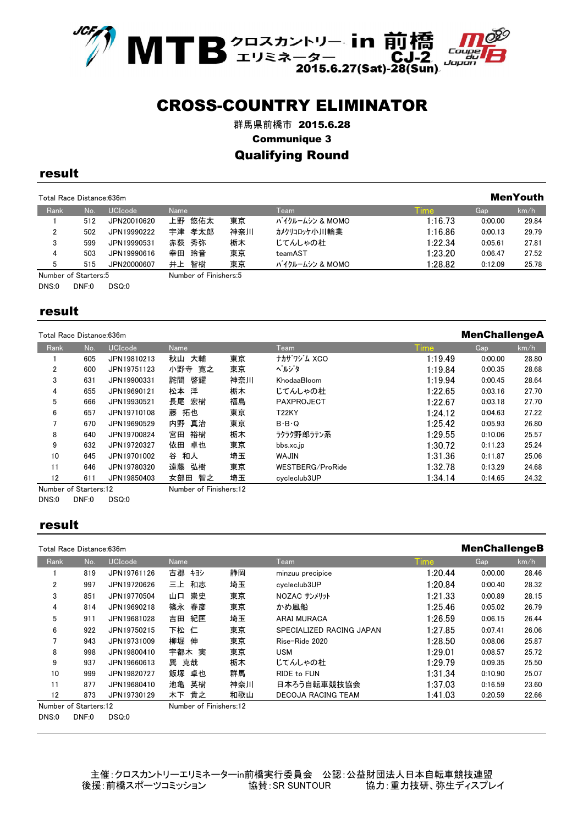

群馬県前橋市 2015.6.28 Communique 3 Qualifying Round

#### result

| Total Race Distance: 636m |     |                |                       |     |                 |             |         |       |
|---------------------------|-----|----------------|-----------------------|-----|-----------------|-------------|---------|-------|
| Rank                      | No. | <b>UCIcode</b> | Name                  |     | Team            | <b>Time</b> | Gap     | km/h  |
|                           | 512 | JPN20010620    | 上野 悠佑太                | 東京  | バイクルームシン & MOMO | 1:16.73     | 0:00.00 | 29.84 |
| 2                         | 502 | JPN19990222    | 宇津 孝太郎                | 神奈川 | カメクリコロッケハリ川輪業   | 1:16.86     | 0:00.13 | 29.79 |
| 3                         | 599 | JPN19990531    | 赤荻 秀弥                 | 栃木  | じてんしゃの杜         | 1:22.34     | 0:05.61 | 27.81 |
| 4                         | 503 | JPN19990616    | 幸田 玲音                 | 東京  | teamAST         | 1:23.20     | 0:06.47 | 27.52 |
| 5                         | 515 | JPN20000607    | 智樹<br>井上              | 東京  | バイクルームシン & MOMO | 1:28.82     | 0.12.09 | 25.78 |
| Number of Starters:5      |     |                | Number of Finishers:5 |     |                 |             |         |       |

DNS:0 DNF:0 DSQ:0

#### result

| Total Race Distance:636m |     |             |                        |     |                     | <b>MenChallengeA</b> |         |       |
|--------------------------|-----|-------------|------------------------|-----|---------------------|----------------------|---------|-------|
| Rank                     | No. | UCIcode     | Name                   |     | Team                | <b>Time</b>          | Gap     | km/h  |
|                          | 605 | JPN19810213 | 秋山 大輔                  | 東京  | ナカザワジム XCO          | 1:19.49              | 0:00.00 | 28.80 |
| 2                        | 600 | JPN19751123 | 小野寺 寛之                 | 東京  | ヘルジタ                | 1:19.84              | 0:00.35 | 28.68 |
| 3                        | 631 | JPN19900331 | 詫間<br>啓耀               | 神奈川 | KhodaaBloom         | 1:19.94              | 0:00.45 | 28.64 |
| 4                        | 655 | JPN19690121 | 洋<br>松本                | 栃木  | じてんしゃの杜             | 1:22.65              | 0:03.16 | 27.70 |
| 5                        | 666 | JPN19930521 | 長尾<br>宏樹               | 福島  | <b>PAXPROJECT</b>   | 1:22.67              | 0:03.18 | 27.70 |
| 6                        | 657 | JPN19710108 | 藤<br>拓也                | 東京  | <b>T22KY</b>        | 1:24.12              | 0:04.63 | 27.22 |
| 7                        | 670 | JPN19690529 | 内野<br>真治               | 東京  | $B \cdot B \cdot Q$ | 1:25.42              | 0:05.93 | 26.80 |
| 8                        | 640 | JPN19700824 | 裕樹<br>宮田               | 栃木  | ラクラク野郎ラテン系          | 1:29.55              | 0:10.06 | 25.57 |
| 9                        | 632 | JPN19720327 | 卓也<br>依田               | 東京  | bbs.xc.jp           | 1:30.72              | 0:11.23 | 25.24 |
| 10                       | 645 | JPN19701002 | 和人<br>谷                | 埼玉  | <b>WAJIN</b>        | 1:31.36              | 0:11.87 | 25.06 |
| 11                       | 646 | JPN19780320 | 遠藤<br>弘樹               | 東京  | WESTBERG/ProRide    | 1:32.78              | 0:13.29 | 24.68 |
| 12                       | 611 | JPN19850403 | 女部田<br>智之              | 埼玉  | cycleclub3UP        | 1:34.14              | 0:14.65 | 24.32 |
| Number of Starters:12    |     |             | Number of Finishers:12 |     |                     |                      |         |       |

DNS:0 DNF:0 DSQ:0

#### result

|       | Total Race Distance:636m |                |                        |     |                           |             | <b>MenChallengeB</b> |       |
|-------|--------------------------|----------------|------------------------|-----|---------------------------|-------------|----------------------|-------|
| Rank  | No.                      | <b>UCIcode</b> | <b>Name</b>            |     | Team                      | <b>Time</b> | Gap                  | km/h  |
|       | 819                      | JPN19761126    | 古郡<br>キヨシ              | 静岡  | minzuu precipice          | 1:20.44     | 0:00.00              | 28.46 |
| 2     | 997                      | JPN19720626    | 和志<br>三上               | 埼玉  | cycleclub3UP              | 1:20.84     | 0:00.40              | 28.32 |
| 3     | 851                      | JPN19770504    | 崇史<br>山口               | 東京  | NOZAC サンメリット              | 1:21.33     | 0:00.89              | 28.15 |
| 4     | 814                      | JPN19690218    | 篠永<br>春彦               | 東京  | かめ風船                      | 1:25.46     | 0:05.02              | 26.79 |
| 5     | 911                      | JPN19681028    | 紀匡<br>吉田               | 埼玉  | <b>ARAI MURACA</b>        | 1:26.59     | 0:06.15              | 26.44 |
| 6     | 922                      | JPN19750215    | 下松 仁                   | 東京  | SPECIALIZED RACING JAPAN  | 1:27.85     | 0:07.41              | 26.06 |
| 7     | 943                      | JPN19731009    | 柳堀<br>伸                | 東京  | Rise-Ride 2020            | 1:28.50     | 0:08.06              | 25.87 |
| 8     | 998                      | JPN19800410    | 宇都木 実                  | 東京  | <b>USM</b>                | 1:29.01     | 0:08.57              | 25.72 |
| 9     | 937                      | JPN19660613    | 巽 克哉                   | 栃木  | じてんしゃの杜                   | 1:29.79     | 0:09.35              | 25.50 |
| 10    | 999                      | JPN19820727    | 飯塚<br>卓也               | 群馬  | RIDE to FUN               | 1:31.34     | 0:10.90              | 25.07 |
| 11    | 877                      | JPN19680410    | 池亀<br>英樹               | 神奈川 | 日本ろう自転車競技協会               | 1:37.03     | 0:16.59              | 23.60 |
| 12    | 873                      | JPN19730129    | 木下 貴之                  | 和歌山 | <b>DECOJA RACING TEAM</b> | 1:41.03     | 0:20.59              | 22.66 |
|       | Number of Starters:12    |                | Number of Finishers:12 |     |                           |             |                      |       |
| DNS:0 | DNF:0                    | DSQ:0          |                        |     |                           |             |                      |       |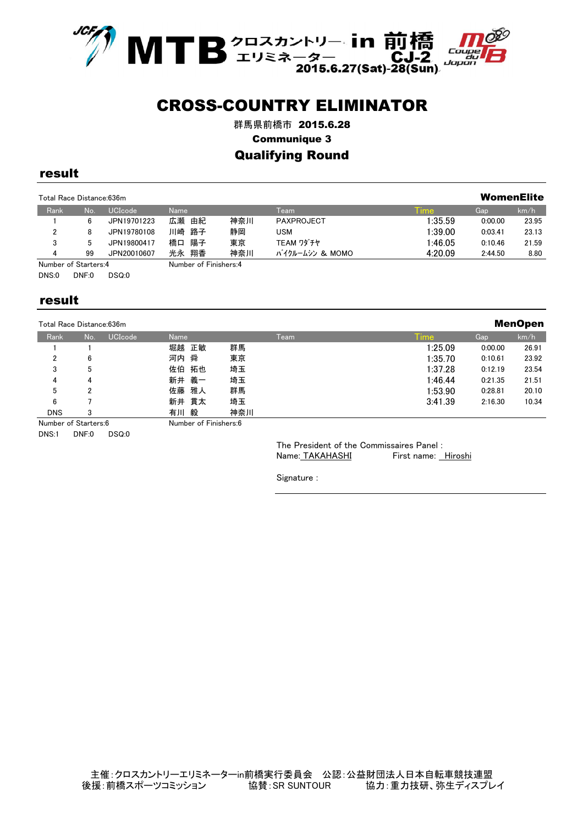

群馬県前橋市 2015.6.28

Communique 3

#### Qualifying Round

#### result

| WomenElite<br>Total Race Distance: 636m |    |                |                       |     |                 |              |         |       |
|-----------------------------------------|----|----------------|-----------------------|-----|-----------------|--------------|---------|-------|
| Rank                                    | No | <b>UCIcode</b> | <b>Name</b>           |     | Team            | <u>l</u> ime | Gap     | km/h  |
|                                         | 6  | JPN19701223    | 広瀬<br>由紀              | 神奈川 | PAXPROJECT      | 1:35.59      | 0:00.00 | 23.95 |
| 2                                       | 8  | JPN19780108    | 川崎 路子                 | 静岡  | USM             | 1:39.00      | 0:03.41 | 23.13 |
| 3                                       |    | JPN19800417    | 橋口 陽子                 | 東京  | TEAM ワダチヤ       | 1:46.05      | 0:10.46 | 21.59 |
| 4                                       | 99 | JPN20010607    | 光永 翔香                 | 神奈川 | バイクルームシン & MOMO | 4:20.09      | 2:44.50 | 8.80  |
| Number of Starters:4                    |    |                | Number of Finishers:4 |     |                 |              |         |       |

DNS:0 DNF:0 DSQ:0

#### result

Total Race Distance:636m

| , ota, , ,aoo <i>b</i> ,ota, ,oo,oo,,,, |     |                |             |      |             |         |       |
|-----------------------------------------|-----|----------------|-------------|------|-------------|---------|-------|
| Rank                                    | No. | <b>UCIcode</b> | <b>Name</b> | Team | <b>Time</b> | Gap     | km/h  |
|                                         |     |                | 堀越 正敏       | 群馬   | 1:25.09     | 0:00.00 | 26.91 |
| 2                                       | 6   |                | 河内 舜        | 東京   | 1:35.70     | 0:10.61 | 23.92 |
| 3                                       | 5   |                | 佐伯 拓也       | 埼玉   | 1:37.28     | 0:12.19 | 23.54 |
| 4                                       | 4   |                | 新井 義一       | 埼玉   | 1:46.44     | 0:21.35 | 21.51 |
| 5                                       | 2   |                | 佐藤 雅人       | 群馬   | 1:53.90     | 0:28.81 | 20.10 |
| 6                                       |     |                | 新井 貫太       | 埼玉   | 3:41.39     | 2:16.30 | 10.34 |
| <b>DNS</b>                              | 3   |                | 有川 毅        | 神奈川  |             |         |       |

Number of Starters:6 Number of Finishers:6

DNS:1 DNF:0 DSQ:0

The President of the Commissaires Panel : Name: TAKAHASHI First name: Hiroshi **ManOnan** 

Signature :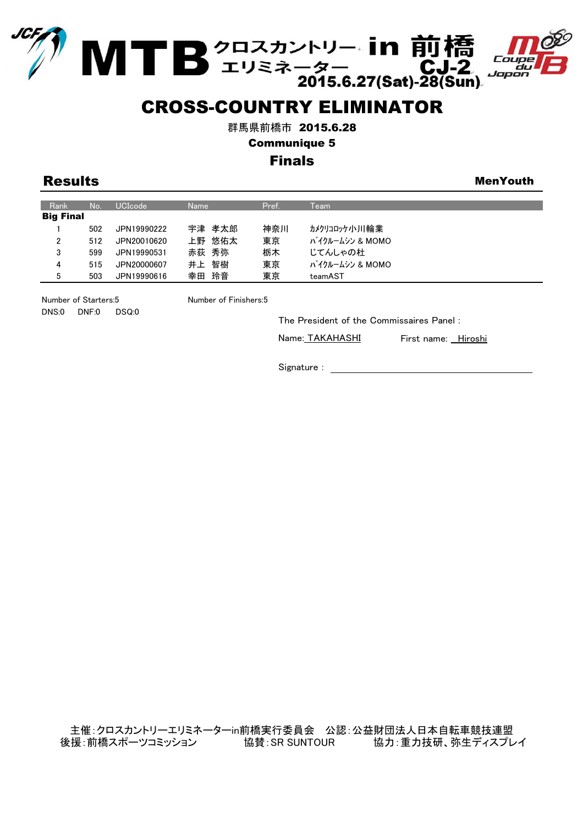



MTB<sup>クロスカントリー</sup>·in前橋<br>2015.6.27(Sat)-28(Sun)

群馬県前橋市 2015.6.28

Communique 5

## Finals

**Results** Menyouth

| Rank             | No. | <b>UCIcode</b> | <b>Name</b> | Pref. | Team            |
|------------------|-----|----------------|-------------|-------|-----------------|
| <b>Big Final</b> |     |                |             |       |                 |
|                  | 502 | JPN19990222    | 宇津 孝太郎      | 神奈川   | カメクリコロッケハリ川輪業   |
| $\overline{2}$   | 512 | JPN20010620    | 上野 悠佑太      | 東京    | バイクルームシン & MOMO |
| 3                | 599 | JPN19990531    | 赤荻 秀弥       | 栃木    | じてんしゃの杜         |
| 4                | 515 | JPN20000607    | 智樹<br>井上    | 東京    | バイクルームシン & MOMO |
| 5                | 503 | JPN19990616    | 幸田 玲音       | 東京    | teamAST         |

Number of Starters:5 Number of Finishers:5 DNS:0 DNF:0 DSQ:0

The President of the Commissaires Panel :

Name: TAKAHASHI

First name: Hiroshi

Signature :

主催:クロスカントリーエリミネーターin前橋実行委員会 公認:公益財団法人日本自転車競技連盟 後援:前橋スポーツコミッション 協賛:SR SUNTOUR 協力:重力技研、弥生ディスプレイ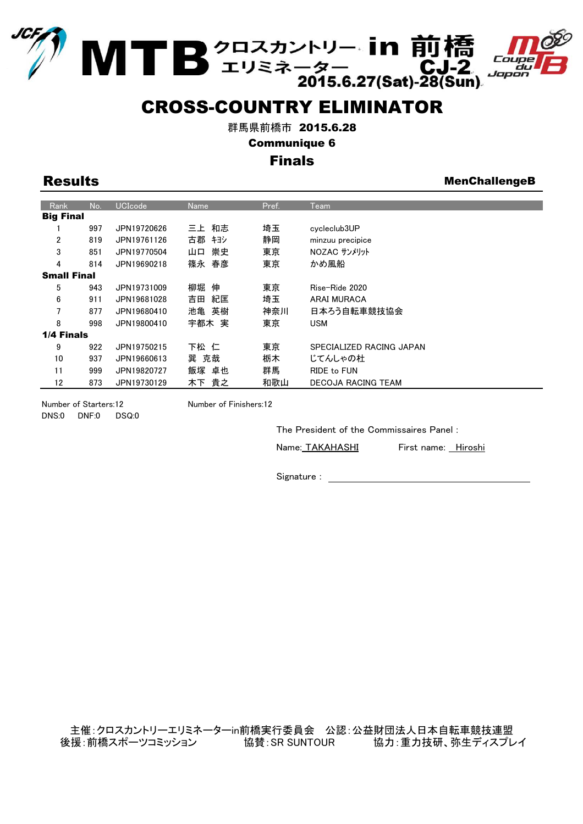



MTB 2ロスカントリー·in 前橋<br>2015.6.27(Sat)-28(Sun)

群馬県前橋市 2015.6.28

Communique 6

## Finals

Results **MenchallengeB** 

| Rank               | No. | <b>UCIcode</b> | <b>Name</b> | Pref. | Team                     |
|--------------------|-----|----------------|-------------|-------|--------------------------|
| <b>Big Final</b>   |     |                |             |       |                          |
|                    | 997 | JPN19720626    | 三上 和志       | 埼玉    | cycleclub3UP             |
| $\overline{2}$     | 819 | JPN19761126    | 古郡 キヨシ      | 静岡    | minzuu precipice         |
| 3                  | 851 | JPN19770504    | 崇史<br>山口    | 東京    | NOZAC サンメリット             |
| 4                  | 814 | JPN19690218    | 篠永 春彦       | 東京    | かめ風船                     |
| <b>Small Final</b> |     |                |             |       |                          |
| 5                  | 943 | JPN19731009    | 柳堀<br>伸     | 東京    | Rise-Ride 2020           |
| 6                  | 911 | JPN19681028    | 紀匡<br>吉田    | 埼玉    | ARAI MURACA              |
| $\overline{7}$     | 877 | JPN19680410    | 英樹<br>池亀    | 神奈川   | 日本ろう自転車競技協会              |
| 8                  | 998 | JPN19800410    | 宇都木 実       | 東京    | USM                      |
| 1/4 Finals         |     |                |             |       |                          |
| 9                  | 922 | JPN19750215    | 下松 仁        | 東京    | SPECIALIZED RACING JAPAN |
| 10                 | 937 | JPN19660613    | 巽 克哉        | 栃木    | じてんしゃの杜                  |
| 11                 | 999 | JPN19820727    | 飯塚 卓也       | 群馬    | RIDE to FUN              |
| 12                 | 873 | JPN19730129    | 木下 貴之       | 和歌山   | DECOJA RACING TEAM       |

DNS:0 DNF:0 DSQ:0

Number of Starters:12 Number of Finishers:12

The President of the Commissaires Panel :

Name: TAKAHASHI

First name: Hiroshi

Signature :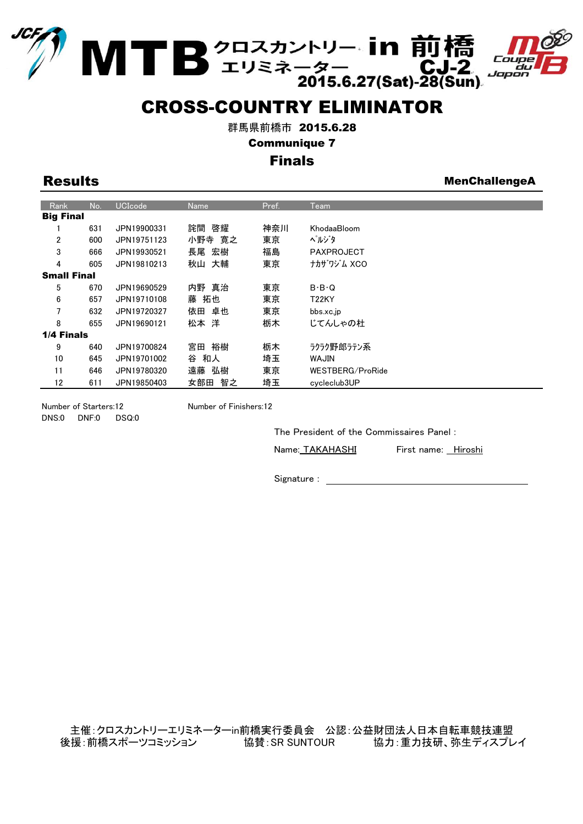



MTB<sup>クロスカントリー</sup>·in 前橋<br>2015.6.27(Sat)-28(Sun)

群馬県前橋市 2015.6.28

Communique 7

## Finals

Results **MenchallengeA** 

| Rank               | No. | <b>UCIcode</b> | <b>Name</b> | Pref. | Team                |
|--------------------|-----|----------------|-------------|-------|---------------------|
| <b>Big Final</b>   |     |                |             |       |                     |
|                    | 631 | JPN19900331    | 詫間 啓耀       | 神奈川   | KhodaaBloom         |
| 2                  | 600 | JPN19751123    | 小野寺 寛之      | 東京    | ヘルジタ                |
| 3                  | 666 | JPN19930521    | 長尾 宏樹       | 福島    | <b>PAXPROJECT</b>   |
| 4                  | 605 | JPN19810213    | 秋山 大輔       | 東京    | ナカザワジム XCO          |
| <b>Small Final</b> |     |                |             |       |                     |
| 5                  | 670 | JPN19690529    | 内野 真治       | 東京    | $B \cdot B \cdot Q$ |
| 6                  | 657 | JPN19710108    | 藤 拓也        | 東京    | <b>T22KY</b>        |
| 7                  | 632 | JPN19720327    | 依田 卓也       | 東京    | bbs.xc.jp           |
| 8                  | 655 | JPN19690121    | 松本 洋        | 栃木    | じてんしゃの杜             |
| 1/4 Finals         |     |                |             |       |                     |
| 9                  | 640 | JPN19700824    | 裕樹<br>宮田    | 栃木    | ラクラク野郎ラテン系          |
| 10                 | 645 | JPN19701002    | 和人<br>谷     | 埼玉    | <b>MILAW</b>        |
| 11                 | 646 | JPN19780320    | 弘樹<br>遠藤    | 東京    | WESTBERG/ProRide    |
| 12                 | 611 | JPN19850403    | 女部田<br>智之   | 埼玉    | cycleclub3UP        |
|                    |     |                |             |       |                     |

DNS:0 DNF:0 DSQ:0

Number of Starters:12 Number of Finishers:12

The President of the Commissaires Panel :

Name: TAKAHASHI First name: Hiroshi

Signature :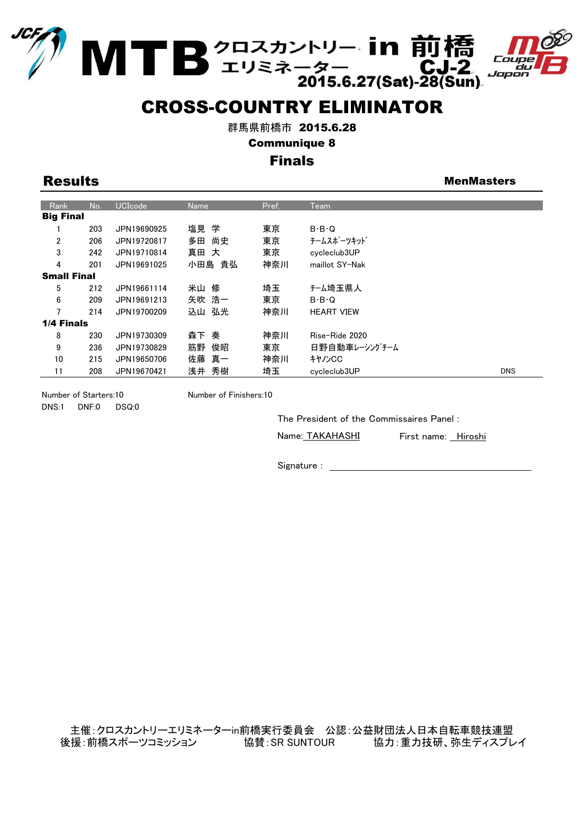



MTB 2ロスカントリー·in 前橋<br>2015.6.27(Sat)-28(Sun)

群馬県前橋市 2015.6.28

Communique 8

### Finals

Results **Mental Contract Contract Contract Contract Contract Contract Contract Contract Contract Contract Contract Contract Contract Contract Contract Contract Contract Contract Contract Contract Contract Contract Contract** 

| Rank               | No. | <b>UCIcode</b> | <b>Name</b> | Pref. | Team                |            |
|--------------------|-----|----------------|-------------|-------|---------------------|------------|
| <b>Big Final</b>   |     |                |             |       |                     |            |
|                    | 203 | JPN19690925    | 塩見 学        | 東京    | $B \cdot B \cdot Q$ |            |
| $\overline{2}$     | 206 | JPN19720817    | 多田<br>尚史    | 東京    | チームスポーツキット゛         |            |
| 3                  | 242 | JPN19710814    | 真田<br>大     | 東京    | cycleclub3UP        |            |
| 4                  | 201 | JPN19691025    | 小田島 貴弘      | 神奈川   | maillot SY-Nak      |            |
| <b>Small Final</b> |     |                |             |       |                     |            |
| 5                  | 212 | JPN19661114    | 米山 修        | 埼玉    | チーム埼玉県人             |            |
| 6                  | 209 | JPN19691213    | 矢吹 浩一       | 東京    | $B \cdot B \cdot Q$ |            |
| $\overline{7}$     | 214 | JPN19700209    | 込山 弘光       | 神奈川   | <b>HEART VIEW</b>   |            |
| 1/4 Finals         |     |                |             |       |                     |            |
| 8                  | 230 | JPN19730309    | 奏<br>森下     | 神奈川   | Rise-Ride 2020      |            |
| 9                  | 236 | JPN19730829    | 筋野<br>俊昭    | 東京    | 日野自動車レーシングチーム       |            |
| 10                 | 215 | JPN19650706    | 佐藤 真一       | 神奈川   | キャノンCC              |            |
| 11                 | 208 | JPN19670421    | 秀樹<br>浅井    | 埼玉    | cycleclub3UP        | <b>DNS</b> |

Number of Starters:10 Number of Finishers:10 DNS:1 DNF:0 DSQ:0

The President of the Commissaires Panel :

Name: TAKAHASHI

First name: Hiroshi

Signature : with the state of the state of the state of the state of the state of the state of the state of the state of the state of the state of the state of the state of the state of the state of the state of the state

主催:クロスカントリーエリミネーターin前橋実行委員会 公認:公益財団法人日本自転車競技連盟 後援:前橋スポーツコミッション 協賛:SR SUNTOUR 協力:重力技研、弥生ディスプレイ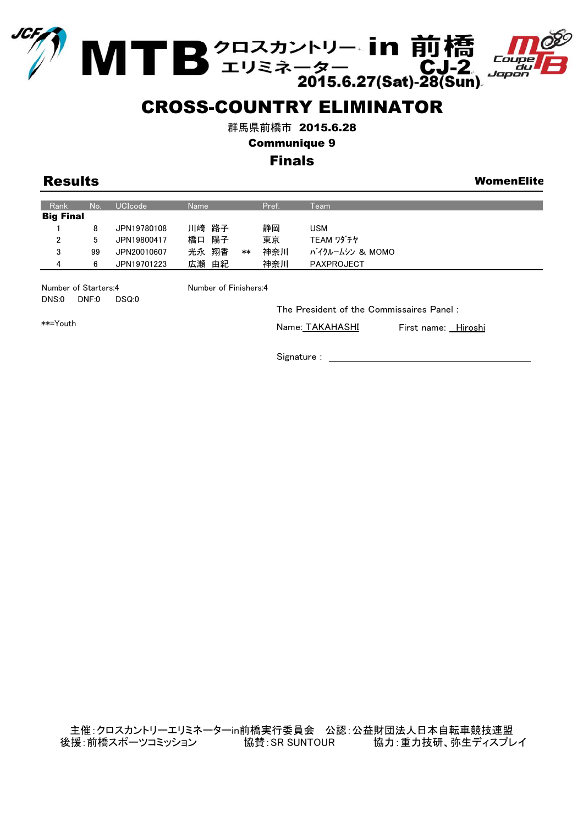



MTB<sup>クロスカントリー</sup>·in前橋<br>2015.6.27(Sat)-28(Sun)

群馬県前橋市 2015.6.28

Communique 9

## Finals

Results WomenElite

| Rank             | No: | <b>UCIcode</b> | Name          | Pref. | Team            |
|------------------|-----|----------------|---------------|-------|-----------------|
| <b>Big Final</b> |     |                |               |       |                 |
|                  | 8   | JPN19780108    | 川崎 路子         | 静岡    | USM             |
| 2                | 5   | JPN19800417    | 陽子<br>橋口      | 東京    | TEAM ワダチヤ       |
| 3                | 99  | JPN20010607    | 光永 翔香<br>$**$ | 神奈川   | バイクルームシン & MOMO |
| 4                | 6   | JPN19701223    | 由紀<br>広瀬      | 神奈川   | PAXPROJECT      |

Number of Starters:4 Number of Finishers:4 DNS:0 DNF:0 DSQ:0

The President of the Commissaires Panel :

\*\*=Youth

Name: TAKAHASHI

First name: Hiroshi

Signature : with the set of the set of the set of the set of the set of the set of the set of the set of the set of the set of the set of the set of the set of the set of the set of the set of the set of the set of the set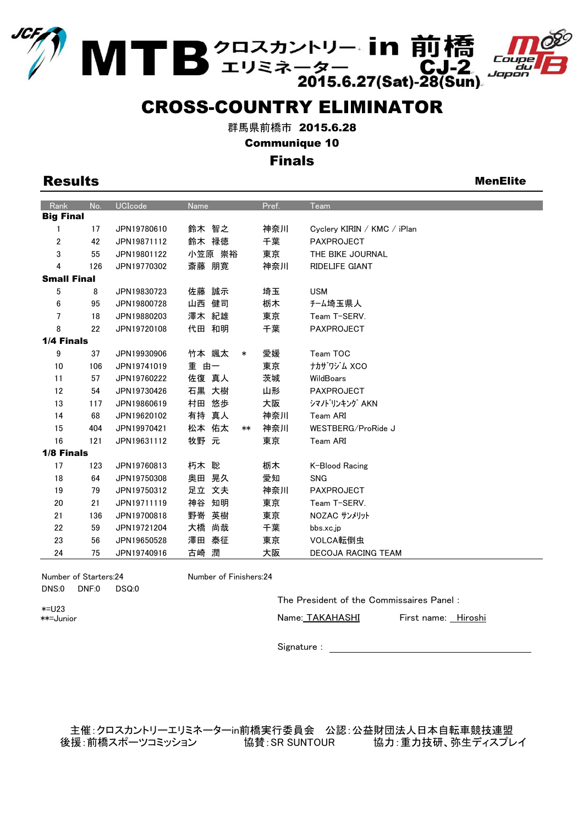



MTB<sup>クロスカントリー、in 前橋<br>2015.6.27(Sat)-28(Sun)</sup>

群馬県前橋市 2015.6.28

Communique 10

#### Finals

| <b>Results</b> | <b>MenElite</b> |
|----------------|-----------------|
|                |                 |

| Rank               | No. | <b>UCIcode</b> | Name            | Pref. | Team                        |
|--------------------|-----|----------------|-----------------|-------|-----------------------------|
| <b>Big Final</b>   |     |                |                 |       |                             |
| 1                  | 17  | JPN19780610    | 鈴木 智之           | 神奈川   | Cyclery KIRIN / KMC / iPlan |
| 2                  | 42  | JPN19871112    | 鈴木 禄徳           | 千葉    | <b>PAXPROJECT</b>           |
| 3                  | 55  | JPN19801122    | 小笠原 崇裕          | 東京    | THE BIKE JOURNAL            |
| 4                  | 126 | JPN19770302    | 斎藤 朋寛           | 神奈川   | <b>RIDELIFE GIANT</b>       |
| <b>Small Final</b> |     |                |                 |       |                             |
| 5                  | 8   | JPN19830723    | 誠示<br>佐藤        | 埼玉    | <b>USM</b>                  |
| 6                  | 95  | JPN19800728    | 健司<br>山西        | 栃木    | チーム埼玉県人                     |
| $\overline{7}$     | 18  | JPN19880203    | 澤木 紀雄           | 東京    | Team T-SERV.                |
| 8                  | 22  | JPN19720108    | 代田 和明           | 千葉    | PAXPROJECT                  |
| 1/4 Finals         |     |                |                 |       |                             |
| 9                  | 37  | JPN19930906    | 竹本 颯太<br>$\ast$ | 愛媛    | Team TOC                    |
| 10                 | 106 | JPN19741019    | 重<br>由一         | 東京    | ナカザワジム XCO                  |
| 11                 | 57  | JPN19760222    | 佐復 真人           | 茨城    | WildBoars                   |
| 12                 | 54  | JPN19730426    | 石黒 大樹           | 山形    | <b>PAXPROJECT</b>           |
| 13                 | 117 | JPN19860619    | 村田 悠歩           | 大阪    | シマノト <sup>・</sup> リンキング AKN |
| 14                 | 68  | JPN19620102    | 真人<br>有持        | 神奈川   | Team ARI                    |
| 15                 | 404 | JPN19970421    | 松本 佑太<br>**     | 神奈川   | WESTBERG/ProRide J          |
| 16                 | 121 | JPN19631112    | 牧野 元            | 東京    | Team ARI                    |
| 1/8 Finals         |     |                |                 |       |                             |
| 17                 | 123 | JPN19760813    | 朽木 聡            | 栃木    | K-Blood Racing              |
| 18                 | 64  | JPN19750308    | 晃久<br>奥田        | 愛知    | <b>SNG</b>                  |
| 19                 | 79  | JPN19750312    | 足立 文夫           | 神奈川   | <b>PAXPROJECT</b>           |
| 20                 | 21  | JPN19711119    | 神谷<br>知明        | 東京    | Team T-SERV.                |
| 21                 | 136 | JPN19700818    | 野嵜<br>英樹        | 東京    | NOZAC サンメリット                |
| 22                 | 59  | JPN19721204    | 尚哉<br>大橋        | 千葉    | bbs.xc.jp                   |
| 23                 | 56  | JPN19650528    | 澤田<br>泰征        | 東京    | VOLCA転倒虫                    |
| 24                 | 75  | JPN19740916    | 潤<br>古崎         | 大阪    | <b>DECOJA RACING TEAM</b>   |

Number of Starters:24 Number of Finishers:24 DNS:0 DNF:0 DSQ:0

\*=U23 \*\*=Junior The President of the Commissaires Panel :

Name: TAKAHASHI

First name: Hiroshi

Signature : \_

主催:クロスカントリーエリミネーターin前橋実行委員会 公認:公益財団法人日本自転車競技連盟 後援:前橋スポーツコミッション 協賛:SR SUNTOUR 協力:重力技研、弥生ディスプレイ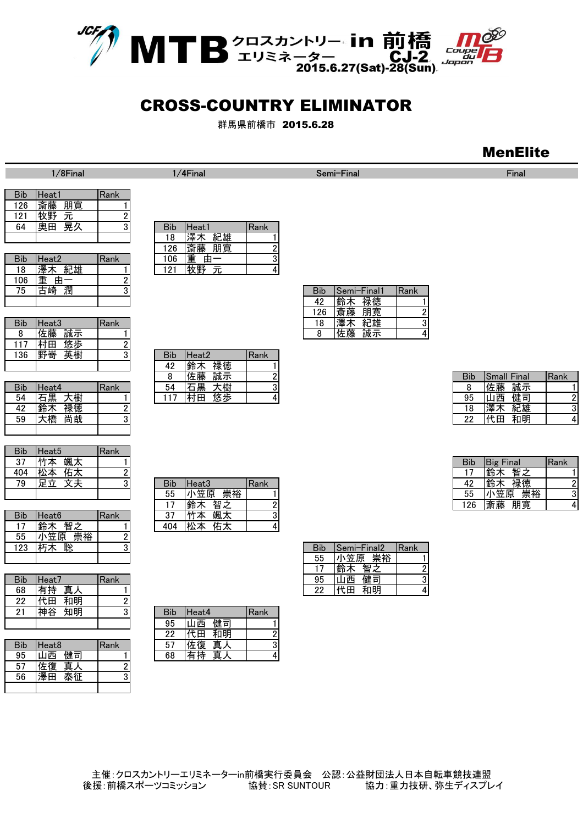

群馬県前橋市 2015.6.28

## MenElite

| <b>Bib</b> | Heat1    | Rank |
|------------|----------|------|
| 126        | 朋寛<br>斎勝 |      |
| 121        | Φť<br>元  |      |
| 64         | 晃久       |      |
|            |          |      |

1/8Final

|     |          |      | . <u>.</u> .    | IAN 7736 711 212 |            |             |      |
|-----|----------|------|-----------------|------------------|------------|-------------|------|
| Bib | Heat2    | Rank | 06              | 重<br>由           |            |             |      |
| 18  | 紀雄<br>澤木 |      | -01<br><u>.</u> | <b>华</b> 县<br>ᇨ  |            |             |      |
| 106 | 重        |      |                 |                  |            |             |      |
| 75  | 潤<br>崎   |      |                 |                  | <b>Bib</b> | Semi-Final1 | Rank |
|     |          |      |                 |                  | 42         | 禄徳<br>鈴木    |      |

| <b>Bib</b> | Heat3  | Rank |
|------------|--------|------|
| 8          | c滕     |      |
|            | 田<br>歩 |      |
| 136        | 嵜<br>英 |      |
|            |        |      |

| <b>Bib</b> | Heat4    | Rank |
|------------|----------|------|
|            | 石黒       |      |
|            | 徳        |      |
|            | 尚哉<br>ъ. |      |
|            |          |      |

| <b>Bib</b> | Heat <sub>5</sub> | Rank |
|------------|-------------------|------|
| 37         |                   |      |
| 404        | 石太                |      |
| ٥g         |                   |      |
|            |                   |      |

| <b>Bib</b> | Heat <sub>6</sub> | Rank |
|------------|-------------------|------|
|            |                   |      |
| 55         | 笠原<br>崇裕          |      |
| 123        |                   |      |
|            |                   |      |

| Bib | Heat7    | Rank   |            |            |      |
|-----|----------|--------|------------|------------|------|
| 68  | 有持<br>真人 |        |            |            |      |
| 22  | 代田<br>和明 | n<br>ے |            |            |      |
| 21  | 神谷<br>知明 | 3      | <b>Bib</b> | Heat4      | Rank |
|     |          |        | 95         | 健司<br>त्रम |      |

|            |                   |      | ᅩ  | ╵  | イロウナ |  |
|------------|-------------------|------|----|----|------|--|
| <b>Bib</b> | Heat <sub>8</sub> | Rank | 57 | 複  | 真人   |  |
| 95         | 健司<br>ऋ           |      | 68 | 有持 | `重人  |  |
| 57         | 佐復<br>真人          |      |    |    |      |  |
| 56         | 泰征<br>澤田          |      |    |    |      |  |
|            |                   |      |    |    |      |  |

| 1 Z I | け入士」<br>ノレ |      |            |          |      |
|-------|------------|------|------------|----------|------|
| 64    | 晃久<br>奥田   | ບ    | <b>Bib</b> | Heat1    | Rank |
|       |            |      | 18         | ,雄<br>澤  |      |
|       |            |      | 126        | 斎藤<br>朋寛 |      |
| Bib   | Heat2      | Rank | 106        | 重<br>由   |      |
| 18    | 雄<br>澤     |      | 121        | 出行 甲子    |      |

|       | .                           |      |     |           |              |            |                    |       |
|-------|-----------------------------|------|-----|-----------|--------------|------------|--------------------|-------|
| 野嵜    | 英樹                          |      | Bib | 'Heat2    | <b>IRank</b> |            |                    |       |
|       |                             |      | 42  | 禄徳<br>鈴木  |              |            |                    |       |
|       |                             |      |     | 誠示<br>佐藤  |              | <b>Bib</b> | <b>Small Final</b> | IRank |
| Heat4 |                             | Rank | 54  | ロ黒<br>ヘイジ |              |            | 誠示<br>佐藤           |       |
| 石黒    | ヽ蚀                          |      | 117 | 悠歩<br>村田  |              | 95         | 健司<br>山西           |       |
| .     | $\sim$ $\sim$ $\sim$ $\sim$ |      |     |           |              |            | ___<br>.           |       |

| 404 |                   |      |            |                   |      |
|-----|-------------------|------|------------|-------------------|------|
| 79  |                   | υ    | <b>Bib</b> | Heat <sub>3</sub> | Rank |
|     |                   |      | 55         | 小笠原<br>崇裕         |      |
|     |                   |      |            | 智.                |      |
| Bib | Heat <sub>6</sub> | Rank | כפ         |                   |      |
|     | ↛<br>桇            |      | 404        |                   |      |

|            |          |                            |     |          |       | . . | .  | =∼ |   |
|------------|----------|----------------------------|-----|----------|-------|-----|----|----|---|
| Bib        | Heat7    | Rank                       |     |          |       | 95  | 山西 | 健司 | 3 |
| 68         | 真人<br>有持 |                            |     |          |       | 22  | 代田 | 和明 | 4 |
| 22         | 代田<br>和明 |                            |     |          |       |     |    |    |   |
| 21         | 神谷<br>知明 | 3                          | Bib | Heat4    | lRank |     |    |    |   |
|            |          |                            | 95  | 健司<br>Ⅰ西 |       |     |    |    |   |
|            |          |                            | 22  | 和明<br>代田 |       |     |    |    |   |
| <b>Rih</b> | $H = 48$ | $\mathsf{R}_{\mathsf{2n}}$ | 57  | 佐復<br>曺  | ◠     |     |    |    |   |

| 75      | 潤<br>ī崎  | 3    | <b>Bib</b> | ISemi−Final1 | Rank |
|---------|----------|------|------------|--------------|------|
|         |          |      | 42         | 禄徳<br>鈴木     |      |
|         |          |      | 26         | 斎藤<br>朋寛     | n    |
| Bib     | Heat3    | Rank | 18         | 紀雄<br>澤<br>ᄌ | 3    |
| $\circ$ | 佐藤<br>誠示 |      |            | 誠示<br>佐藤     | 4    |

1/4Final Semi-Final Semi-Final Semi-Final Semi-Final Semi-Final Semi-Final Semi-Final Semi-Final Semi-Final Semi-Final Semi-Final Semi-Final Semi-Final Semi-Final Semi-Final Semi-Final Semi-Final Semi-Final Semi-Final Semi

|     |          |      |    | .  | .  |  |            |                    |              |
|-----|----------|------|----|----|----|--|------------|--------------------|--------------|
|     |          |      |    | 佐藤 | 誠示 |  | <b>Bib</b> | <b>Small Final</b> | <b>IRank</b> |
| Bib | Heat4    | Rank | 54 | 石黒 | 大樹 |  |            | 誠示<br>佐藤           |              |
| 54  | 大樹<br>石黒 |      | 17 | 村田 | 悠歩 |  | 95         | 健司<br> 西           |              |
| 42  | 禄徳<br>鈴木 |      |    |    |    |  | 18         | 紀雄<br>濹            |              |
| 59  | 尚哉<br>大橋 |      |    |    |    |  | 22         | 和明<br>代田           |              |

| --- |           | . |     |               |              |                          |               |       |
|-----|-----------|---|-----|---------------|--------------|--------------------------|---------------|-------|
| 37  | 颯太<br>竹木  |   |     |               |              | <b>Bib</b>               | Final<br>lBig | IRank |
| 404 | 松本<br>14人 |   |     |               |              | $\overline{\phantom{a}}$ | 智之<br>╹鈴フ     |       |
| 79  | ╱╮╱╲      |   | Bib | Heat3         | <b>IRank</b> | 42                       | 禄徳<br>「鈴木     |       |
|     |           |   | 55  | 崇裕<br>\笠原     |              | 55                       | 崇裕<br>〝笠原     |       |
|     |           |   | . – | 智之<br>௯<br>亚卫 |              | 126                      | 朋寛<br>斎藤      |       |
|     |           |   |     |               |              |                          |               |       |

| 123        | 朽木<br>聡   |             | <b>Bib</b> | Semi-Final2 | Rank     |
|------------|-----------|-------------|------------|-------------|----------|
|            |           |             | 55         | 崇裕<br>小笠原   |          |
|            |           |             |            | 鈴木<br>智之    | $\Omega$ |
| <b>Bib</b> | Heat7     | <b>Rank</b> | 95         | 健司<br>山西    | 31       |
| 68         | 真人<br> 有持 |             | りり         | 代田<br>和明    | 4        |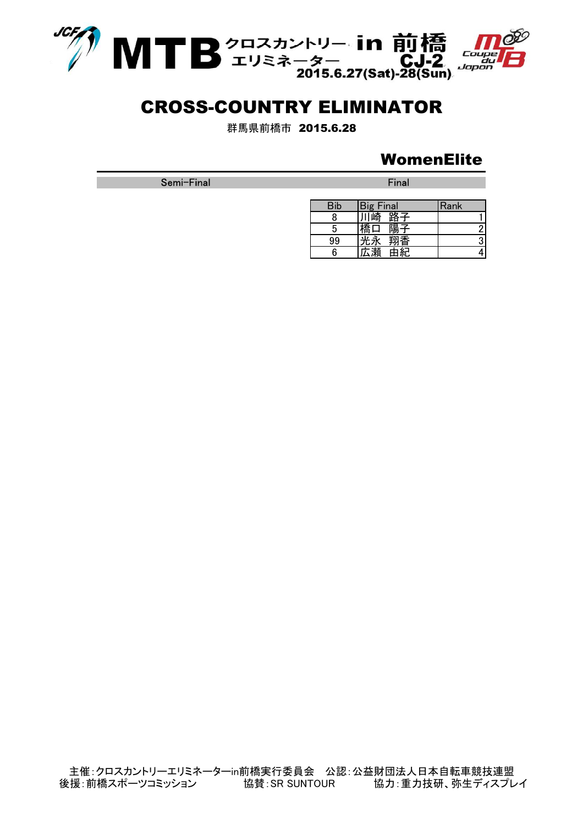

群馬県前橋市 2015.6.28

## **WomenElite**

Semi-Final Final Final Final Final Final Final Final Final Final Final Final Final

| Bib | <b>Big Final</b> | Rank |
|-----|------------------|------|
|     | 路子<br>`崎         |      |
|     | 陽子               |      |
| 99  | ™香               |      |
|     |                  |      |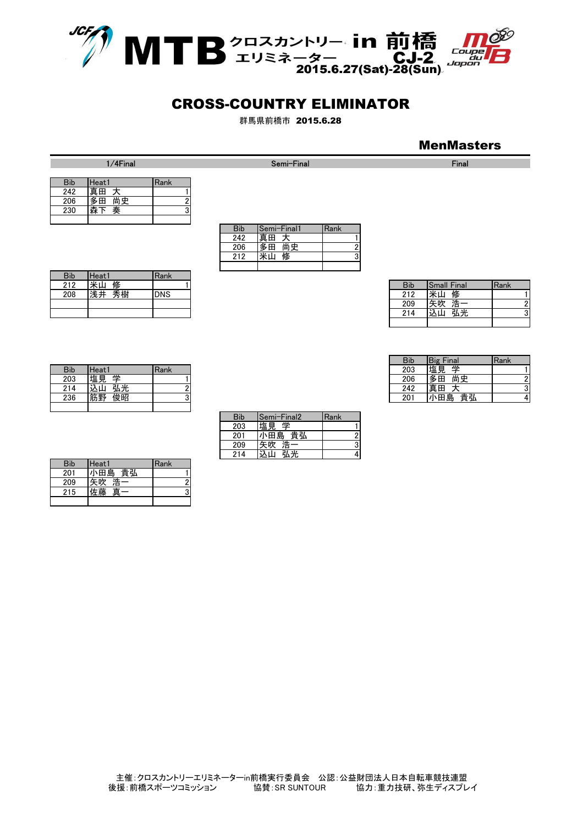

群馬県前橋市 2015.6.28

#### **MenMasters**

1/4Final Final Semi-Final Semi-Final Semi-Final Semi-Final Semi-Final Semi-Final Semi-Final Semi-Final Semi-Final Semi-Final Semi-Final Semi-Final Semi-Final Semi-Final Semi-Final Semi-Final Semi-Final Semi-Final Semi-Fina

| <b>Bib</b> | Heat 1   | Rank |
|------------|----------|------|
| 242        | 真田       |      |
| 206        | 尚史<br>多田 |      |
| 230        | 奏        |      |
|            |          |      |

| <b>Bib</b> | Semi-Final1 | Rank |
|------------|-------------|------|
| 242        | 囲           |      |
| 206        | 多田<br>尚史    |      |
| 212        | 修           |      |
|            |             |      |

<u>Bib Semi-Final2 Rank</u><br>203 塩見 学

201 小田島 貴弘 2 209 矢吹 浩一 3

203 塩見 学<br>201 小田島

214 込山 弘光 4

| 212 | 修<br>米山  |            | <b>Bib</b> | <b>Small Final</b> | Rank |
|-----|----------|------------|------------|--------------------|------|
| 208 | 秀樹<br>浅井 | <b>DNS</b> | 010<br>ے ا | را رعيدا<br>修      |      |
|     |          |            | 209        | 一、一<br>午肠<br>一     | וח   |
|     |          |            | 214        | 弘光<br>以山<br>~-     | າ    |
|     |          |            |            |                    |      |

|                   |              | Bib | Final<br>Big | <b>IRank</b> |
|-------------------|--------------|-----|--------------|--------------|
| Heat <sup>®</sup> | <b>IRank</b> | 203 | 坣<br> 塩見     |              |
| 学<br>塩見           |              | 206 | 尚史<br>l多田    |              |
| 弘光<br>込山          |              | 242 | 真田           |              |
| 筋野<br>俊昭          |              | 201 | 貴弘<br>小田島    |              |

| <b>Bib</b> | Heati             | <b>Rank</b> |  |  |  |                  |                    |      |
|------------|-------------------|-------------|--|--|--|------------------|--------------------|------|
| 212        | 11.1.<br>修<br>٠ш. |             |  |  |  | <b>Bib</b>       | <b>Small Final</b> | Rank |
| 208        | 秀樹<br>建井          | <b>DNS</b>  |  |  |  | <b>010</b><br>ᄼᅠ | 修<br>जरमा<br>⊞⊼    |      |
|            |                   |             |  |  |  | 209              | 浩一<br>矢吹           |      |
|            |                   |             |  |  |  | 214              | 以山<br>弘光           |      |

| <b>Bib</b> | Heat1    | Rank |
|------------|----------|------|
| 203        | 坣<br>塩見  |      |
| 214        | 弘光       |      |
| 236        | 甲子<br>埈昭 |      |
|            |          |      |

| <b>Bib</b> | Heat1   | Rank |
|------------|---------|------|
| 201        | 小田島 貴弘  |      |
| 209        | 浩       |      |
| 215        | 真<br>・曝 |      |
|            |         |      |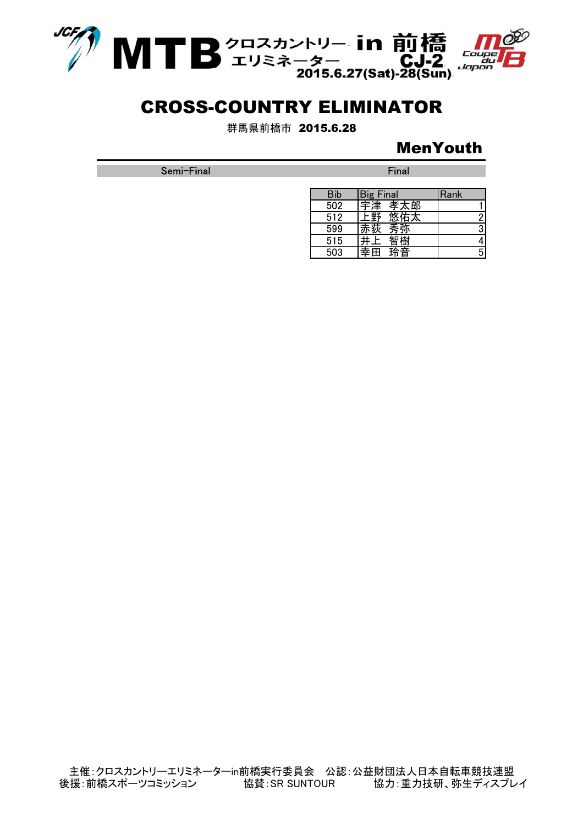

群馬県前橋市 2015.6.28

## MenYouth

Semi-Final Final Final Final Final Final Final Final Final Final Final Final Final

| <b>Bib</b> | <b>Big Final</b> | Rank |
|------------|------------------|------|
| 502        | 孝太郎<br>宇津        |      |
| 512        |                  |      |
| 599        | 夰                |      |
| 515        | t.               |      |
| 503        | 玲音               |      |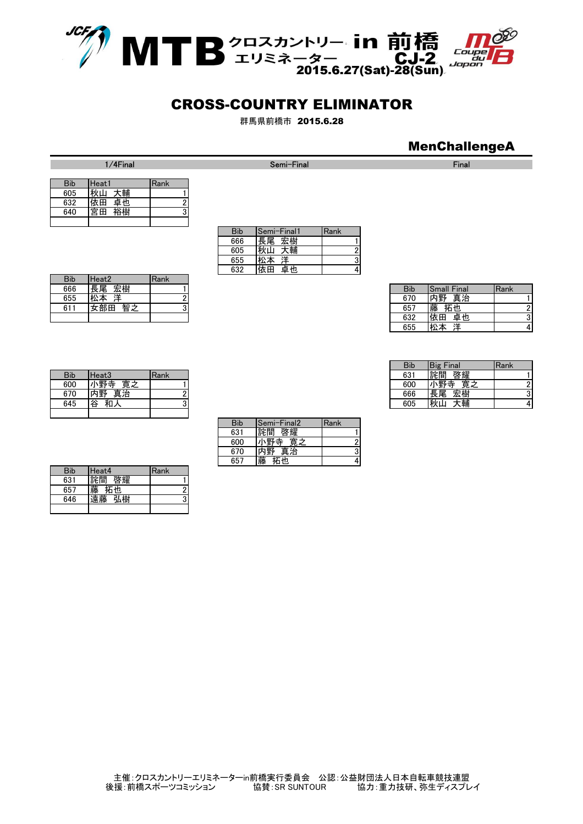

群馬県前橋市 2015.6.28

## MenChallengeA

| <b>Bib</b> | Heat1    | Rank |
|------------|----------|------|
| 605        | 大輔<br>秋山 |      |
| 632        | 卓也<br>依田 |      |
| 640        | 宮田       |      |
|            |          |      |

| <b>Bib</b> | Semi-Final1 | Rank |
|------------|-------------|------|
| 666        | 長尾 宏樹       |      |
| 605        | 秋山<br>大輔    |      |
| 655        | 洋           |      |
| 632        | 卓也<br>中     |      |

| 666 | 宏樹<br> 長尾                |  | <b>Bib</b> | Small Final       | Rank |
|-----|--------------------------|--|------------|-------------------|------|
| 655 | 洋<br>松本<br>$^{\prime +}$ |  | 670        | 真治<br>内野          |      |
| 611 | 智之<br>:部田<br>ば           |  | 657        | 藤<br>拓也           |      |
|     |                          |  | 632        | 依田<br>卓也          |      |
|     |                          |  | 655        | ≄≎<br>\∦∖<br>ባムላት |      |

|            |           |             | <b>Bib</b> | Final<br>Big | Rank |
|------------|-----------|-------------|------------|--------------|------|
| <b>Bib</b> | Heat3     | <b>Rank</b> | 631        | 啓耀<br>詫間     |      |
| 600        | 寛之<br>\野寺 |             | 600        | 小野寺<br>寛之    |      |
| 670        | 真治<br>内野  |             | 666        | 宏樹<br>長尾     |      |
| 645        | 谷<br>和人   |             | 605        | 秋山<br>大輔     | 41   |

| $\sim$ | $\overline{\phantom{a}}$ | $\overline{\phantom{0}}$ | ٠ |  |
|--------|--------------------------|--------------------------|---|--|
|        |                          |                          |   |  |
|        |                          |                          |   |  |
|        |                          |                          |   |  |
|        |                          |                          |   |  |
|        |                          |                          |   |  |
|        |                          |                          |   |  |
|        |                          |                          |   |  |
|        |                          |                          |   |  |
|        |                          |                          |   |  |
|        |                          |                          |   |  |
|        |                          |                          |   |  |
|        |                          |                          |   |  |
|        |                          |                          |   |  |

Bib Heat2 Rank<br>666 長尾 宏樹

| <b>Bib</b> | Heat <sub>3</sub> | Rank |
|------------|-------------------|------|
| 600        | 寛之<br>•野寺         |      |
| 670        | 真治<br>野           |      |
| 645        | 谷                 |      |
|            |                   |      |

| <b>Bib</b> | Heat4    | Rank |
|------------|----------|------|
| 631        | 詫間       |      |
| 657        | ١h.<br>撛 |      |
| 646        | 藤        |      |
|            |          |      |

| Bib | Semi-Final2 | Rank |
|-----|-------------|------|
| 631 | 詫間<br>啓耀    |      |
| 600 | 野寺<br>寛之    |      |
| 670 | 真治<br>野     |      |
| 657 |             |      |

1/4Final Final Semi-Final Semi-Final Semi-Final Semi-Final Semi-Final Semi-Final Semi-Final Semi-Final Semi-Final Semi-Final Semi-Final Semi-Final Semi-Final Semi-Final Semi-Final Semi-Final Semi-Final Semi-Final Semi-Fina